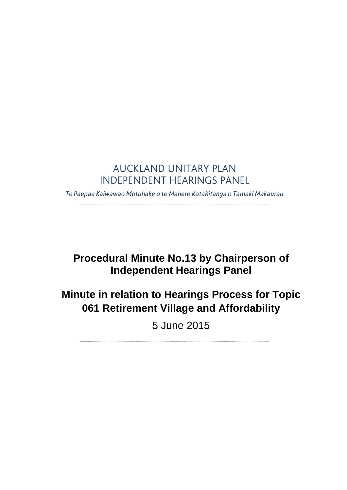### **AUCKLAND UNITARY PLAN INDEPENDENT HEARINGS PANEL**

Te Paepae Kaiwawao Motuhake o te Mahere Kotahitanga o Tāmaki Makaurau

## **Procedural Minute No.13 by Chairperson of Independent Hearings Panel**

# **Minute in relation to Hearings Process for Topic 061 Retirement Village and Affordability**

5 June 2015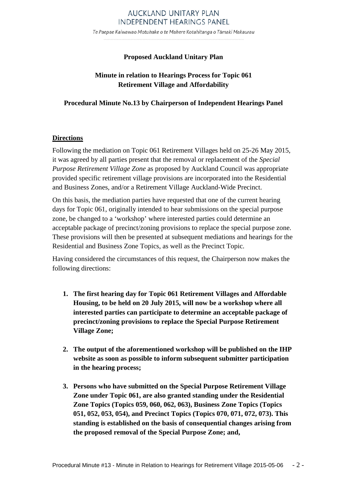#### AUCKLAND UNITARY PLAN **INDEPENDENT HEARINGS PANEL**

Te Paepae Kaiwawao Motuhake o te Mahere Kotahitanga o Tāmaki Makaurau

#### **Proposed Auckland Unitary Plan**

#### **Minute in relation to Hearings Process for Topic 061 Retirement Village and Affordability**

#### **Procedural Minute No.13 by Chairperson of Independent Hearings Panel**

#### **Directions**

Following the mediation on Topic 061 Retirement Villages held on 25-26 May 2015, it was agreed by all parties present that the removal or replacement of the *Special Purpose Retirement Village Zone* as proposed by Auckland Council was appropriate provided specific retirement village provisions are incorporated into the Residential and Business Zones, and/or a Retirement Village Auckland-Wide Precinct.

On this basis, the mediation parties have requested that one of the current hearing days for Topic 061, originally intended to hear submissions on the special purpose zone, be changed to a 'workshop' where interested parties could determine an acceptable package of precinct/zoning provisions to replace the special purpose zone. These provisions will then be presented at subsequent mediations and hearings for the Residential and Business Zone Topics, as well as the Precinct Topic.

Having considered the circumstances of this request, the Chairperson now makes the following directions:

- **1. The first hearing day for Topic 061 Retirement Villages and Affordable Housing, to be held on 20 July 2015, will now be a workshop where all interested parties can participate to determine an acceptable package of precinct/zoning provisions to replace the Special Purpose Retirement Village Zone;**
- **2. The output of the aforementioned workshop will be published on the IHP website as soon as possible to inform subsequent submitter participation in the hearing process;**
- **3. Persons who have submitted on the Special Purpose Retirement Village Zone under Topic 061, are also granted standing under the Residential Zone Topics (Topics 059, 060, 062, 063), Business Zone Topics (Topics 051, 052, 053, 054), and Precinct Topics (Topics 070, 071, 072, 073). This standing is established on the basis of consequential changes arising from the proposed removal of the Special Purpose Zone; and,**